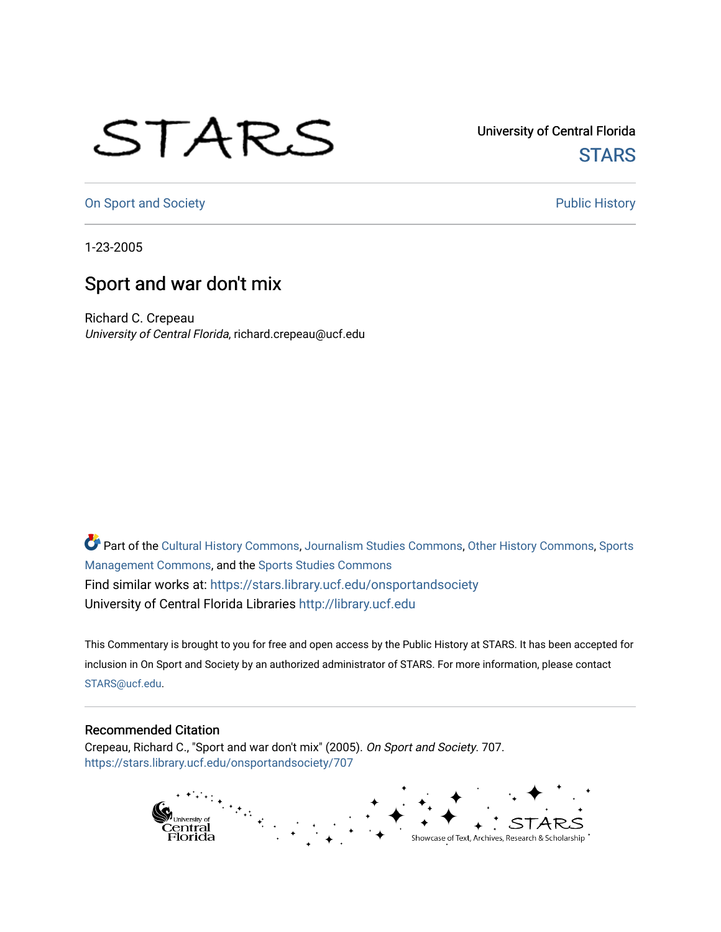## STARS

University of Central Florida **STARS** 

[On Sport and Society](https://stars.library.ucf.edu/onsportandsociety) **Public History** Public History

1-23-2005

## Sport and war don't mix

Richard C. Crepeau University of Central Florida, richard.crepeau@ucf.edu

Part of the [Cultural History Commons](http://network.bepress.com/hgg/discipline/496?utm_source=stars.library.ucf.edu%2Fonsportandsociety%2F707&utm_medium=PDF&utm_campaign=PDFCoverPages), [Journalism Studies Commons,](http://network.bepress.com/hgg/discipline/333?utm_source=stars.library.ucf.edu%2Fonsportandsociety%2F707&utm_medium=PDF&utm_campaign=PDFCoverPages) [Other History Commons,](http://network.bepress.com/hgg/discipline/508?utm_source=stars.library.ucf.edu%2Fonsportandsociety%2F707&utm_medium=PDF&utm_campaign=PDFCoverPages) [Sports](http://network.bepress.com/hgg/discipline/1193?utm_source=stars.library.ucf.edu%2Fonsportandsociety%2F707&utm_medium=PDF&utm_campaign=PDFCoverPages) [Management Commons](http://network.bepress.com/hgg/discipline/1193?utm_source=stars.library.ucf.edu%2Fonsportandsociety%2F707&utm_medium=PDF&utm_campaign=PDFCoverPages), and the [Sports Studies Commons](http://network.bepress.com/hgg/discipline/1198?utm_source=stars.library.ucf.edu%2Fonsportandsociety%2F707&utm_medium=PDF&utm_campaign=PDFCoverPages) Find similar works at: <https://stars.library.ucf.edu/onsportandsociety> University of Central Florida Libraries [http://library.ucf.edu](http://library.ucf.edu/) 

This Commentary is brought to you for free and open access by the Public History at STARS. It has been accepted for inclusion in On Sport and Society by an authorized administrator of STARS. For more information, please contact [STARS@ucf.edu](mailto:STARS@ucf.edu).

## Recommended Citation

Crepeau, Richard C., "Sport and war don't mix" (2005). On Sport and Society. 707. [https://stars.library.ucf.edu/onsportandsociety/707](https://stars.library.ucf.edu/onsportandsociety/707?utm_source=stars.library.ucf.edu%2Fonsportandsociety%2F707&utm_medium=PDF&utm_campaign=PDFCoverPages)

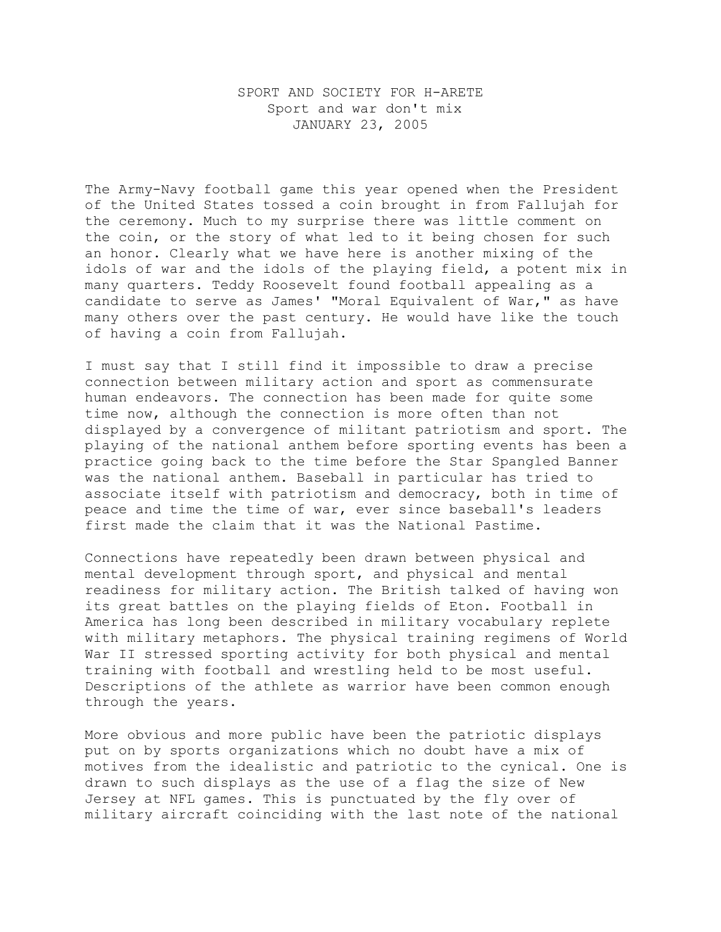## SPORT AND SOCIETY FOR H-ARETE Sport and war don't mix JANUARY 23, 2005

The Army-Navy football game this year opened when the President of the United States tossed a coin brought in from Fallujah for the ceremony. Much to my surprise there was little comment on the coin, or the story of what led to it being chosen for such an honor. Clearly what we have here is another mixing of the idols of war and the idols of the playing field, a potent mix in many quarters. Teddy Roosevelt found football appealing as a candidate to serve as James' "Moral Equivalent of War," as have many others over the past century. He would have like the touch of having a coin from Fallujah.

I must say that I still find it impossible to draw a precise connection between military action and sport as commensurate human endeavors. The connection has been made for quite some time now, although the connection is more often than not displayed by a convergence of militant patriotism and sport. The playing of the national anthem before sporting events has been a practice going back to the time before the Star Spangled Banner was the national anthem. Baseball in particular has tried to associate itself with patriotism and democracy, both in time of peace and time the time of war, ever since baseball's leaders first made the claim that it was the National Pastime.

Connections have repeatedly been drawn between physical and mental development through sport, and physical and mental readiness for military action. The British talked of having won its great battles on the playing fields of Eton. Football in America has long been described in military vocabulary replete with military metaphors. The physical training regimens of World War II stressed sporting activity for both physical and mental training with football and wrestling held to be most useful. Descriptions of the athlete as warrior have been common enough through the years.

More obvious and more public have been the patriotic displays put on by sports organizations which no doubt have a mix of motives from the idealistic and patriotic to the cynical. One is drawn to such displays as the use of a flag the size of New Jersey at NFL games. This is punctuated by the fly over of military aircraft coinciding with the last note of the national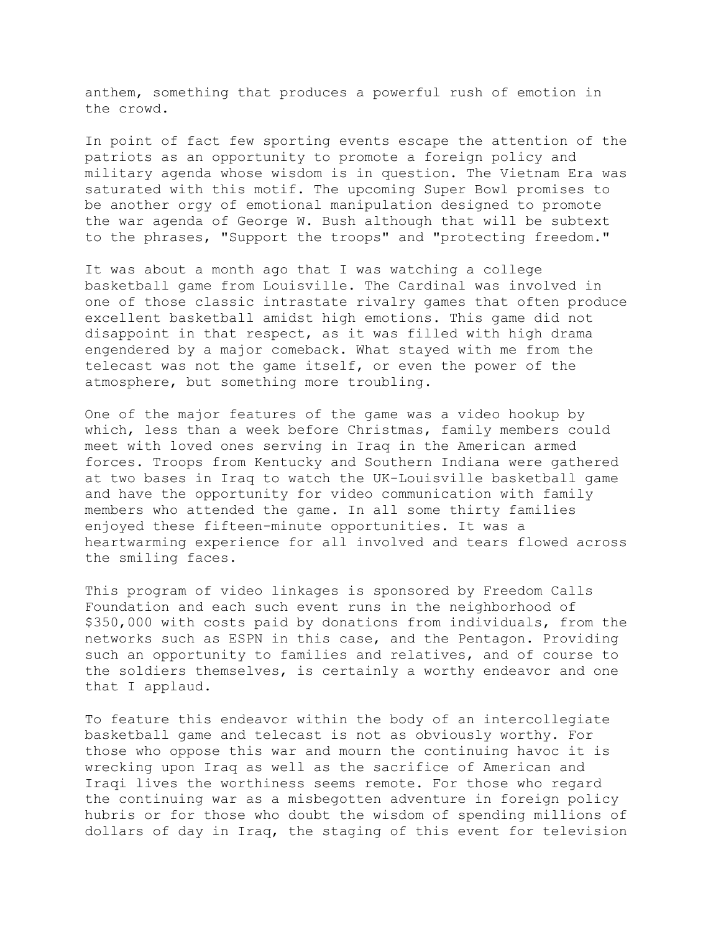anthem, something that produces a powerful rush of emotion in the crowd.

In point of fact few sporting events escape the attention of the patriots as an opportunity to promote a foreign policy and military agenda whose wisdom is in question. The Vietnam Era was saturated with this motif. The upcoming Super Bowl promises to be another orgy of emotional manipulation designed to promote the war agenda of George W. Bush although that will be subtext to the phrases, "Support the troops" and "protecting freedom."

It was about a month ago that I was watching a college basketball game from Louisville. The Cardinal was involved in one of those classic intrastate rivalry games that often produce excellent basketball amidst high emotions. This game did not disappoint in that respect, as it was filled with high drama engendered by a major comeback. What stayed with me from the telecast was not the game itself, or even the power of the atmosphere, but something more troubling.

One of the major features of the game was a video hookup by which, less than a week before Christmas, family members could meet with loved ones serving in Iraq in the American armed forces. Troops from Kentucky and Southern Indiana were gathered at two bases in Iraq to watch the UK-Louisville basketball game and have the opportunity for video communication with family members who attended the game. In all some thirty families enjoyed these fifteen-minute opportunities. It was a heartwarming experience for all involved and tears flowed across the smiling faces.

This program of video linkages is sponsored by Freedom Calls Foundation and each such event runs in the neighborhood of \$350,000 with costs paid by donations from individuals, from the networks such as ESPN in this case, and the Pentagon. Providing such an opportunity to families and relatives, and of course to the soldiers themselves, is certainly a worthy endeavor and one that I applaud.

To feature this endeavor within the body of an intercollegiate basketball game and telecast is not as obviously worthy. For those who oppose this war and mourn the continuing havoc it is wrecking upon Iraq as well as the sacrifice of American and Iraqi lives the worthiness seems remote. For those who regard the continuing war as a misbegotten adventure in foreign policy hubris or for those who doubt the wisdom of spending millions of dollars of day in Iraq, the staging of this event for television